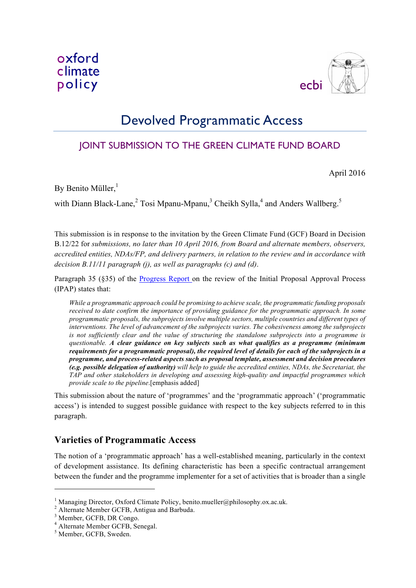

## Devolved Programmatic Access

## JOINT SUBMISSION TO THE GREEN CLIMATE FUND BOARD

April 2016

By Benito Müller,<sup>1</sup>

with Diann Black-Lane,<sup>2</sup> Tosi Mpanu-Mpanu,<sup>3</sup> Cheikh Sylla,<sup>4</sup> and Anders Wallberg.<sup>5</sup>

This submission is in response to the invitation by the Green Climate Fund (GCF) Board in Decision B.12/22 for *submissions, no later than 10 April 2016, from Board and alternate members, observers, accredited entities, NDAs/FP, and delivery partners, in relation to the review and in accordance with decision B.11/11 paragraph (j), as well as paragraphs (c) and (d)*.

Paragraph 35 (§35) of the Progress Report on the review of the Initial Proposal Approval Process (IPAP) states that:

*While a programmatic approach could be promising to achieve scale, the programmatic funding proposals received to date confirm the importance of providing guidance for the programmatic approach. In some programmatic proposals, the subprojects involve multiple sectors, multiple countries and different types of interventions. The level of advancement of the subprojects varies. The cohesiveness among the subprojects is not sufficiently clear and the value of structuring the standalone subprojects into a programme is questionable. A clear guidance on key subjects such as what qualifies as a programme (minimum requirements for a programmatic proposal), the required level of details for each of the subprojects in a programme, and process-related aspects such as proposal template, assessment and decision procedures (e.g. possible delegation of authority) will help to guide the accredited entities, NDAs, the Secretariat, the TAP and other stakeholders in developing and assessing high-quality and impactful programmes which provide scale to the pipeline*.[emphasis added]

This submission about the nature of 'programmes' and the 'programmatic approach' ('programmatic access') is intended to suggest possible guidance with respect to the key subjects referred to in this paragraph.

## **Varieties of Programmatic Access**

The notion of a 'programmatic approach' has a well-established meaning, particularly in the context of development assistance. Its defining characteristic has been a specific contractual arrangement between the funder and the programme implementer for a set of activities that is broader than a single

 $\overline{a}$ 

<sup>&</sup>lt;sup>1</sup> Managing Director, Oxford Climate Policy, benito.mueller@philosophy.ox.ac.uk. <sup>2</sup> Alternate Member GCFB, Antigua and Barbuda. <sup>3</sup> Member, GCFB, DR Congo. <sup>4</sup> Alternate Member GCFB, Senegal.

<sup>5</sup> Member, GCFB, Sweden.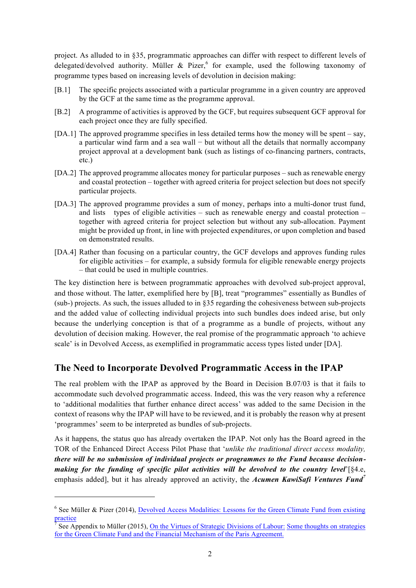project. As alluded to in §35, programmatic approaches can differ with respect to different levels of delegated/devolved authority. Müller & Pizer, for example, used the following taxonomy of programme types based on increasing levels of devolution in decision making:

- [B.1] The specific projects associated with a particular programme in a given country are approved by the GCF at the same time as the programme approval.
- [B.2] A programme of activities is approved by the GCF, but requires subsequent GCF approval for each project once they are fully specified.
- [DA.1] The approved programme specifies in less detailed terms how the money will be spent say, a particular wind farm and a sea wall − but without all the details that normally accompany project approval at a development bank (such as listings of co-financing partners, contracts, etc.)
- [DA.2] The approved programme allocates money for particular purposes such as renewable energy and coastal protection – together with agreed criteria for project selection but does not specify particular projects.
- [DA.3] The approved programme provides a sum of money, perhaps into a multi-donor trust fund, and lists types of eligible activities – such as renewable energy and coastal protection – together with agreed criteria for project selection but without any sub-allocation. Payment might be provided up front, in line with projected expenditures, or upon completion and based on demonstrated results.
- [DA.4] Rather than focusing on a particular country, the GCF develops and approves funding rules for eligible activities – for example, a subsidy formula for eligible renewable energy projects – that could be used in multiple countries.

The key distinction here is between programmatic approaches with devolved sub-project approval, and those without. The latter, exemplified here by [B], treat "programmes" essentially as Bundles of (sub-) projects. As such, the issues alluded to in §35 regarding the cohesiveness between sub-projects and the added value of collecting individual projects into such bundles does indeed arise, but only because the underlying conception is that of a programme as a bundle of projects, without any devolution of decision making. However, the real promise of the programmatic approach 'to achieve scale' is in Devolved Access, as exemplified in programmatic access types listed under [DA].

## **The Need to Incorporate Devolved Programmatic Access in the IPAP**

The real problem with the IPAP as approved by the Board in Decision B.07/03 is that it fails to accommodate such devolved programmatic access. Indeed, this was the very reason why a reference to 'additional modalities that further enhance direct access' was added to the same Decision in the context of reasons why the IPAP will have to be reviewed, and it is probably the reason why at present 'programmes' seem to be interpreted as bundles of sub-projects.

As it happens, the status quo has already overtaken the IPAP. Not only has the Board agreed in the TOR of the Enhanced Direct Access Pilot Phase that '*unlike the traditional direct access modality, there will be no submission of individual projects or programmes to the Fund because decisionmaking for the funding of specific pilot activities will be devolved to the country level*'[§4.e, emphasis added], but it has already approved an activity, the *Acumen KawiSafi Ventures Fund7*

l

<sup>&</sup>lt;sup>6</sup> See Müller & Pizer (2014), Devolved Access Modalities: Lessons for the Green Climate Fund from existing practice

<sup>7</sup> See Appendix to Müller (2015), On the Virtues of Strategic Divisions of Labour: Some thoughts on strategies for the Green Climate Fund and the Financial Mechanism of the Paris Agreement.